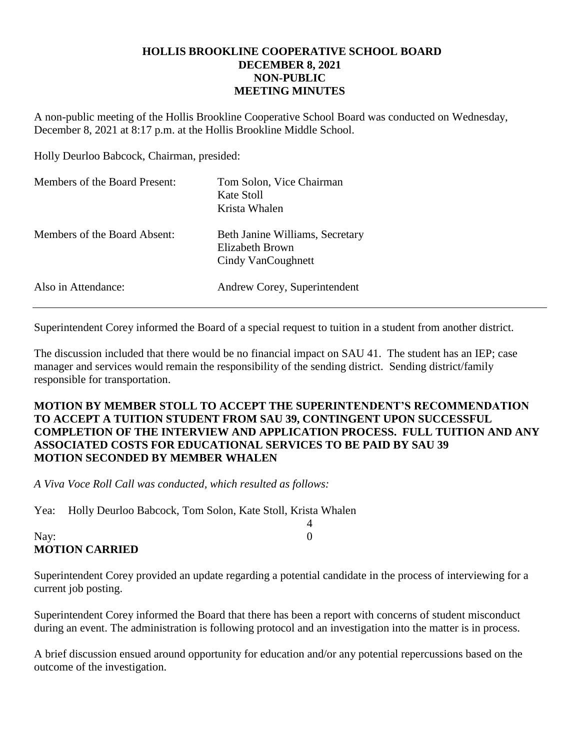## **HOLLIS BROOKLINE COOPERATIVE SCHOOL BOARD DECEMBER 8, 2021 NON-PUBLIC MEETING MINUTES**

A non-public meeting of the Hollis Brookline Cooperative School Board was conducted on Wednesday, December 8, 2021 at 8:17 p.m. at the Hollis Brookline Middle School.

Holly Deurloo Babcock, Chairman, presided:

| Members of the Board Present: | Tom Solon, Vice Chairman<br>Kate Stoll<br>Krista Whalen                  |
|-------------------------------|--------------------------------------------------------------------------|
| Members of the Board Absent:  | Beth Janine Williams, Secretary<br>Elizabeth Brown<br>Cindy VanCoughnett |
| Also in Attendance:           | Andrew Corey, Superintendent                                             |

Superintendent Corey informed the Board of a special request to tuition in a student from another district.

The discussion included that there would be no financial impact on SAU 41. The student has an IEP; case manager and services would remain the responsibility of the sending district. Sending district/family responsible for transportation.

## **MOTION BY MEMBER STOLL TO ACCEPT THE SUPERINTENDENT'S RECOMMENDATION TO ACCEPT A TUITION STUDENT FROM SAU 39, CONTINGENT UPON SUCCESSFUL COMPLETION OF THE INTERVIEW AND APPLICATION PROCESS. FULL TUITION AND ANY ASSOCIATED COSTS FOR EDUCATIONAL SERVICES TO BE PAID BY SAU 39 MOTION SECONDED BY MEMBER WHALEN**

*A Viva Voce Roll Call was conducted, which resulted as follows:*

Yea: Holly Deurloo Babcock, Tom Solon, Kate Stoll, Krista Whalen

## Nay: 0 **MOTION CARRIED**

Superintendent Corey provided an update regarding a potential candidate in the process of interviewing for a current job posting.

4

Superintendent Corey informed the Board that there has been a report with concerns of student misconduct during an event. The administration is following protocol and an investigation into the matter is in process.

A brief discussion ensued around opportunity for education and/or any potential repercussions based on the outcome of the investigation.